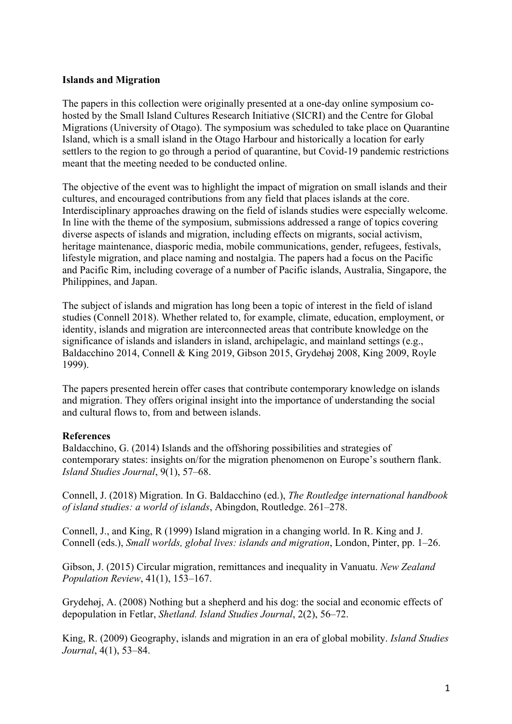## **Islands and Migration**

The papers in this collection were originally presented at a one-day online symposium cohosted by the Small Island Cultures Research Initiative (SICRI) and the Centre for Global Migrations (University of Otago). The symposium was scheduled to take place on Quarantine Island, which is a small island in the Otago Harbour and historically a location for early settlers to the region to go through a period of quarantine, but Covid-19 pandemic restrictions meant that the meeting needed to be conducted online.

The objective of the event was to highlight the impact of migration on small islands and their cultures, and encouraged contributions from any field that places islands at the core. Interdisciplinary approaches drawing on the field of islands studies were especially welcome. In line with the theme of the symposium, submissions addressed a range of topics covering diverse aspects of islands and migration, including effects on migrants, social activism, heritage maintenance, diasporic media, mobile communications, gender, refugees, festivals, lifestyle migration, and place naming and nostalgia. The papers had a focus on the Pacific and Pacific Rim, including coverage of a number of Pacific islands, Australia, Singapore, the Philippines, and Japan.

The subject of islands and migration has long been a topic of interest in the field of island studies (Connell 2018). Whether related to, for example, climate, education, employment, or identity, islands and migration are interconnected areas that contribute knowledge on the significance of islands and islanders in island, archipelagic, and mainland settings (e.g., Baldacchino 2014, Connell & King 2019, Gibson 2015, Grydehøj 2008, King 2009, Royle 1999).

The papers presented herein offer cases that contribute contemporary knowledge on islands and migration. They offers original insight into the importance of understanding the social and cultural flows to, from and between islands.

## **References**

Baldacchino, G. (2014) Islands and the offshoring possibilities and strategies of contemporary states: insights on/for the migration phenomenon on Europe's southern flank. *Island Studies Journal*, 9(1), 57–68.

Connell, J. (2018) Migration. In G. Baldacchino (ed.), *The Routledge international handbook of island studies: a world of islands*, Abingdon, Routledge. 261–278.

Connell, J., and King, R (1999) Island migration in a changing world. In R. King and J. Connell (eds.), *Small worlds, global lives: islands and migration*, London, Pinter, pp. 1–26.

Gibson, J. (2015) Circular migration, remittances and inequality in Vanuatu. *New Zealand Population Review*, 41(1), 153–167.

Grydehøj, A. (2008) Nothing but a shepherd and his dog: the social and economic effects of depopulation in Fetlar, *Shetland. Island Studies Journal*, 2(2), 56–72.

King, R. (2009) Geography, islands and migration in an era of global mobility. *Island Studies Journal*, 4(1), 53–84.